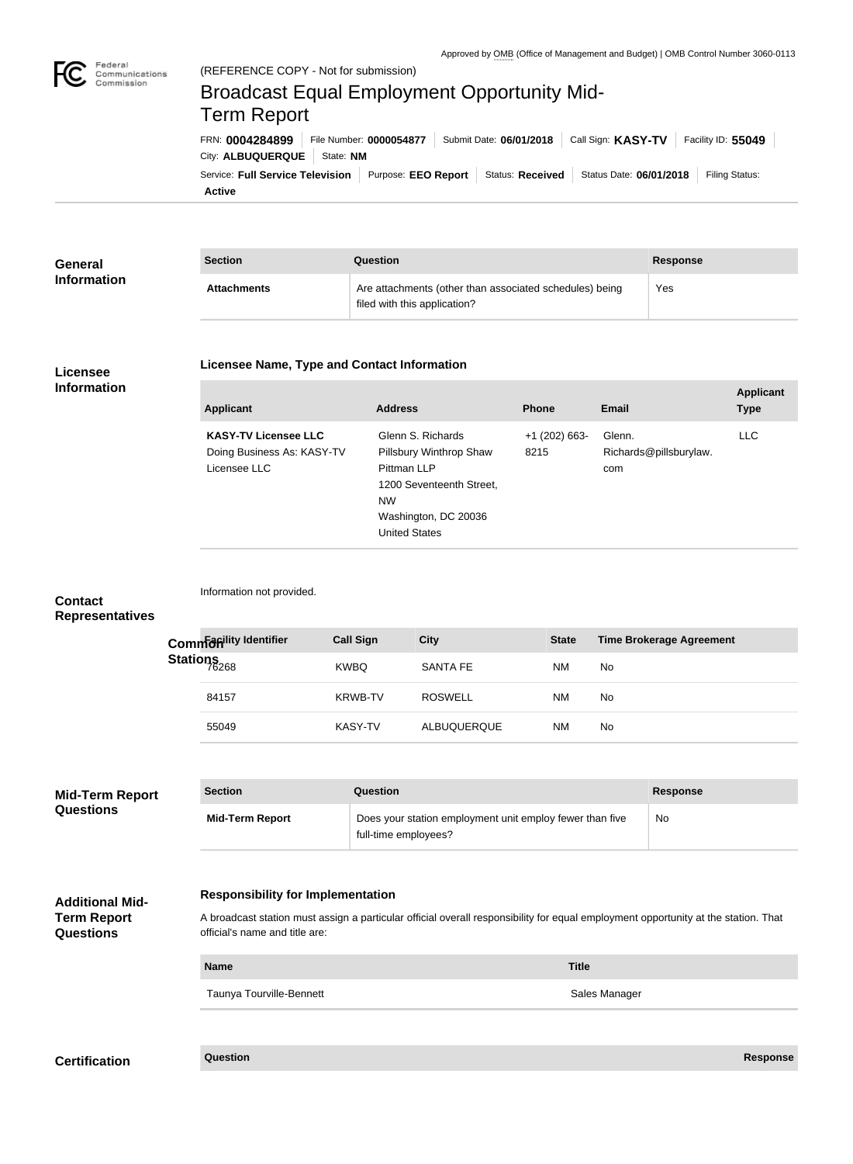

Federal

# Service: Full Service Television | Purpose: EEO Report | Status: Received | Status Date: 06/01/2018 | Filing Status: City: **ALBUQUERQUE** | State: **NM** FRN: **0004284899** File Number: **0000054877** Submit Date: **06/01/2018** Call Sign: **KASY-TV** Facility ID: **55049** (REFERENCE COPY - Not for submission) Broadcast Equal Employment Opportunity Mid-Term Report

**Active**

| <b>General</b>     | <b>Section</b>     | Question                                                                                | Response |
|--------------------|--------------------|-----------------------------------------------------------------------------------------|----------|
| <b>Information</b> | <b>Attachments</b> | Are attachments (other than associated schedules) being<br>filed with this application? | Yes      |

#### **Licensee Information**

#### **Licensee Name, Type and Contact Information**

| <b>Applicant</b>                                                          | <b>Address</b>                                                                                                                                       | <b>Phone</b>            | Email                                   | <b>Applicant</b><br><b>Type</b> |
|---------------------------------------------------------------------------|------------------------------------------------------------------------------------------------------------------------------------------------------|-------------------------|-----------------------------------------|---------------------------------|
| <b>KASY-TV Licensee LLC</b><br>Doing Business As: KASY-TV<br>Licensee LLC | Glenn S. Richards<br>Pillsbury Winthrop Shaw<br>Pittman LLP<br>1200 Seventeenth Street,<br><b>NW</b><br>Washington, DC 20036<br><b>United States</b> | $+1$ (202) 663-<br>8215 | Glenn.<br>Richards@pillsburylaw.<br>com | LLC.                            |

### **Contact Representatives**

|                   | Common district dentifier | <b>Call Sign</b> | <b>City</b>     | <b>State</b> | <b>Time Brokerage Agreement</b> |
|-------------------|---------------------------|------------------|-----------------|--------------|---------------------------------|
| Stations<br>76268 |                           | <b>KWBQ</b>      | <b>SANTA FE</b> | <b>NM</b>    | No.                             |
|                   | 84157                     | <b>KRWB-TV</b>   | <b>ROSWELL</b>  | ΝM           | No.                             |
|                   | 55049                     | KASY-TV          | ALBUQUERQUE     | ΝM           | No.                             |

| <b>Mid-Term Report</b><br><b>Questions</b><br><b>Additional Mid-</b> | <b>Section</b>                           | Question                                                                                                                           | <b>Response</b> |  |  |
|----------------------------------------------------------------------|------------------------------------------|------------------------------------------------------------------------------------------------------------------------------------|-----------------|--|--|
|                                                                      | <b>Mid-Term Report</b>                   | Does your station employment unit employ fewer than five<br>full-time employees?                                                   | <b>No</b>       |  |  |
|                                                                      | <b>Responsibility for Implementation</b> |                                                                                                                                    |                 |  |  |
| Term Report                                                          |                                          | A broadcast station must assign a particular official overall responsibility for equal employment opportunity at the station. That |                 |  |  |

**Name Title**

**Term Report Questions**

A broadcast station must assign a particular official overall responsibility for equal employment opportunity at the station. That official's name and title are:

Taunya Tourville-Bennett **Sales Manager** Sales Manager

Information not provided.

## **Certification Question Response**